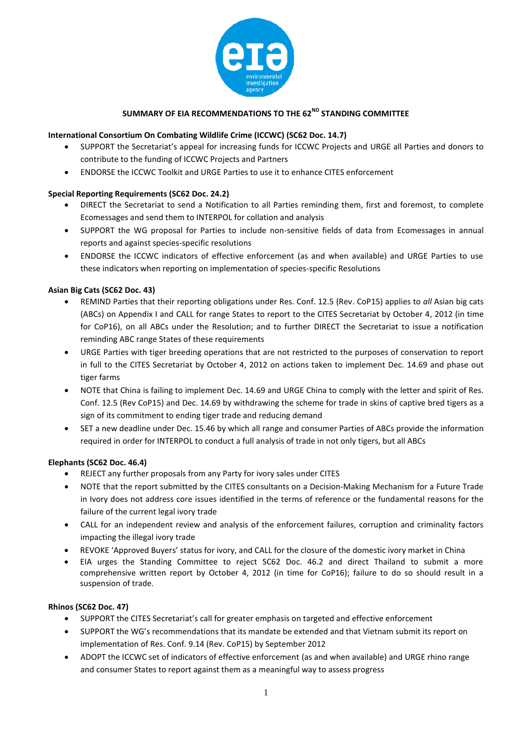

# SUMMARY OF EIA RECOMMENDATIONS TO THE 62<sup>ND</sup> STANDING COMMITTEE

# **International Consortium On Combating Wildlife Crime (ICCWC) (SC62 Doc. 14.7)**

- SUPPORT the Secretariat's appeal for increasing funds for ICCWC Projects and URGE all Parties and donors to contribute to the funding of ICCWC Projects and Partners
- ENDORSE the ICCWC Toolkit and URGE Parties to use it to enhance CITES enforcement

# **Special Reporting Requirements (SC62 Doc. 24.2)**

- DIRECT the Secretariat to send a Notification to all Parties reminding them, first and foremost, to complete Ecomessages and send them to INTERPOL for collation and analysis
- SUPPORT the WG proposal for Parties to include non-sensitive fields of data from Ecomessages in annual reports and against species-specific resolutions
- ENDORSE the ICCWC indicators of effective enforcement (as and when available) and URGE Parties to use these indicators when reporting on implementation of species-specific Resolutions

# **Asian Big Cats (SC62 Doc. 43)**

- REMIND Parties that their reporting obligations under Res. Conf. 12.5 (Rev. CoP15) applies to *all* Asian big cats (ABCs) on Appendix I and CALL for range States to report to the CITES Secretariat by October 4, 2012 (in time for CoP16), on all ABCs under the Resolution; and to further DIRECT the Secretariat to issue a notification reminding ABC range States of these requirements
- URGE Parties with tiger breeding operations that are not restricted to the purposes of conservation to report in full to the CITES Secretariat by October 4, 2012 on actions taken to implement Dec. 14.69 and phase out tiger farms
- NOTE that China is failing to implement Dec. 14.69 and URGE China to comply with the letter and spirit of Res. Conf. 12.5 (Rev CoP15) and Dec. 14.69 by withdrawing the scheme for trade in skins of captive bred tigers as a sign of its commitment to ending tiger trade and reducing demand
- SET a new deadline under Dec. 15.46 by which all range and consumer Parties of ABCs provide the information required in order for INTERPOL to conduct a full analysis of trade in not only tigers, but all ABCs

# **Elephants (SC62 Doc. 46.4)**

- REJECT any further proposals from any Party for ivory sales under CITES
- NOTE that the report submitted by the CITES consultants on a Decision-Making Mechanism for a Future Trade in Ivory does not address core issues identified in the terms of reference or the fundamental reasons for the failure of the current legal ivory trade
- CALL for an independent review and analysis of the enforcement failures, corruption and criminality factors impacting the illegal ivory trade
- REVOKE 'Approved Buyers' status for ivory, and CALL for the closure of the domestic ivory market in China
- EIA urges the Standing Committee to reject SC62 Doc. 46.2 and direct Thailand to submit a more comprehensive written report by October 4, 2012 (in time for CoP16); failure to do so should result in a suspension of trade.

# **Rhinos (SC62 Doc. 47)**

- SUPPORT the CITES Secretariat's call for greater emphasis on targeted and effective enforcement
- SUPPORT the WG's recommendations that its mandate be extended and that Vietnam submit its report on implementation of Res. Conf. 9.14 (Rev. CoP15) by September 2012
- ADOPT the ICCWC set of indicators of effective enforcement (as and when available) and URGE rhino range and consumer States to report against them as a meaningful way to assess progress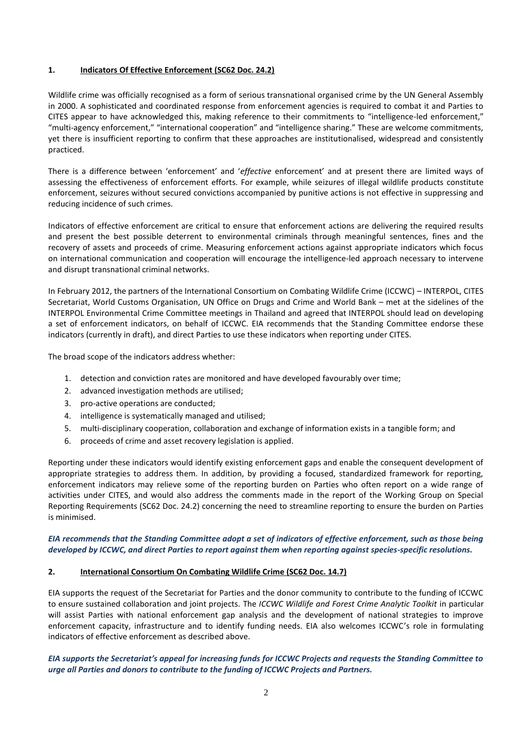# **1. Indicators Of Effective Enforcement (SC62 Doc. 24.2)**

Wildlife crime was officially recognised as a form of serious transnational organised crime by the UN General Assembly in 2000. A sophisticated and coordinated response from enforcement agencies is required to combat it and Parties to CITES appear to have acknowledged this, making reference to their commitments to "intelligence-led enforcement," "multi-agency enforcement," "international cooperation" and "intelligence sharing." These are welcome commitments, yet there is insufficient reporting to confirm that these approaches are institutionalised, widespread and consistently practiced.

There is a difference between 'enforcement' and '*effective* enforcement' and at present there are limited ways of assessing the effectiveness of enforcement efforts. For example, while seizures of illegal wildlife products constitute enforcement, seizures without secured convictions accompanied by punitive actions is not effective in suppressing and reducing incidence of such crimes.

Indicators of effective enforcement are critical to ensure that enforcement actions are delivering the required results and present the best possible deterrent to environmental criminals through meaningful sentences, fines and the recovery of assets and proceeds of crime. Measuring enforcement actions against appropriate indicators which focus on international communication and cooperation will encourage the intelligence-led approach necessary to intervene and disrupt transnational criminal networks.

In February 2012, the partners of the International Consortium on Combating Wildlife Crime (ICCWC) – INTERPOL, CITES Secretariat, World Customs Organisation, UN Office on Drugs and Crime and World Bank – met at the sidelines of the INTERPOL Environmental Crime Committee meetings in Thailand and agreed that INTERPOL should lead on developing a set of enforcement indicators, on behalf of ICCWC. EIA recommends that the Standing Committee endorse these indicators (currently in draft), and direct Parties to use these indicators when reporting under CITES.

The broad scope of the indicators address whether:

- 1. detection and conviction rates are monitored and have developed favourably over time;
- 2. advanced investigation methods are utilised;
- 3. pro-active operations are conducted;
- 4. intelligence is systematically managed and utilised;
- 5. multi-disciplinary cooperation, collaboration and exchange of information exists in a tangible form; and
- 6. proceeds of crime and asset recovery legislation is applied.

Reporting under these indicators would identify existing enforcement gaps and enable the consequent development of appropriate strategies to address them. In addition, by providing a focused, standardized framework for reporting, enforcement indicators may relieve some of the reporting burden on Parties who often report on a wide range of activities under CITES, and would also address the comments made in the report of the Working Group on Special Reporting Requirements (SC62 Doc. 24.2) concerning the need to streamline reporting to ensure the burden on Parties is minimised.

*EIA recommends that the Standing Committee adopt a set of indicators of effective enforcement, such as those being developed by ICCWC, and direct Parties to report against them when reporting against species-specific resolutions.* 

# **2. International Consortium On Combating Wildlife Crime (SC62 Doc. 14.7)**

EIA supports the request of the Secretariat for Parties and the donor community to contribute to the funding of ICCWC to ensure sustained collaboration and joint projects. The *ICCWC Wildlife and Forest Crime Analytic Toolkit* in particular will assist Parties with national enforcement gap analysis and the development of national strategies to improve enforcement capacity, infrastructure and to identify funding needs. EIA also welcomes ICCWC's role in formulating indicators of effective enforcement as described above.

# *EIA supports the Secretariat's appeal for increasing funds for ICCWC Projects and requests the Standing Committee to urge all Parties and donors to contribute to the funding of ICCWC Projects and Partners.*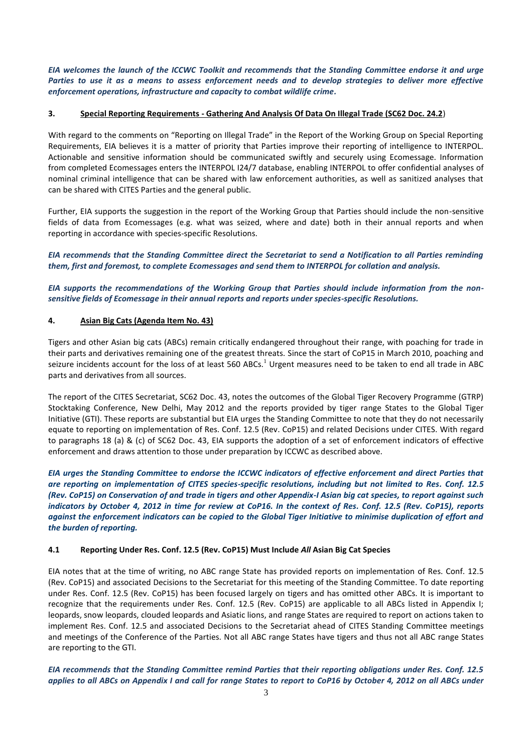*EIA welcomes the launch of the ICCWC Toolkit and recommends that the Standing Committee endorse it and urge Parties to use it as a means to assess enforcement needs and to develop strategies to deliver more effective enforcement operations, infrastructure and capacity to combat wildlife crime.*

# **3. Special Reporting Requirements - Gathering And Analysis Of Data On Illegal Trade (SC62 Doc. 24.2**)

With regard to the comments on "Reporting on Illegal Trade" in the Report of the Working Group on Special Reporting Requirements, EIA believes it is a matter of priority that Parties improve their reporting of intelligence to INTERPOL. Actionable and sensitive information should be communicated swiftly and securely using Ecomessage. Information from completed Ecomessages enters the INTERPOL I24/7 database, enabling INTERPOL to offer confidential analyses of nominal criminal intelligence that can be shared with law enforcement authorities, as well as sanitized analyses that can be shared with CITES Parties and the general public.

Further, EIA supports the suggestion in the report of the Working Group that Parties should include the non-sensitive fields of data from Ecomessages (e.g. what was seized, where and date) both in their annual reports and when reporting in accordance with species-specific Resolutions.

*EIA recommends that the Standing Committee direct the Secretariat to send a Notification to all Parties reminding them, first and foremost, to complete Ecomessages and send them to INTERPOL for collation and analysis.* 

*EIA supports the recommendations of the Working Group that Parties should include information from the nonsensitive fields of Ecomessage in their annual reports and reports under species-specific Resolutions.*

#### **4. Asian Big Cats (Agenda Item No. 43)**

Tigers and other Asian big cats (ABCs) remain critically endangered throughout their range, with poaching for trade in their parts and derivatives remaining one of the greatest threats. Since the start of CoP15 in March 2010, poaching and seizure incidents account for the loss of at least 560 ABCs.<sup>1</sup> Urgent measures need to be taken to end all trade in ABC parts and derivatives from all sources.

The report of the CITES Secretariat, SC62 Doc. 43, notes the outcomes of the Global Tiger Recovery Programme (GTRP) Stocktaking Conference, New Delhi, May 2012 and the reports provided by tiger range States to the Global Tiger Initiative (GTI). These reports are substantial but EIA urges the Standing Committee to note that they do not necessarily equate to reporting on implementation of Res. Conf. 12.5 (Rev. CoP15) and related Decisions under CITES. With regard to paragraphs 18 (a) & (c) of SC62 Doc. 43, EIA supports the adoption of a set of enforcement indicators of effective enforcement and draws attention to those under preparation by ICCWC as described above.

*EIA urges the Standing Committee to endorse the ICCWC indicators of effective enforcement and direct Parties that are reporting on implementation of CITES species-specific resolutions, including but not limited to Res. Conf. 12.5 (Rev. CoP15) on Conservation of and trade in tigers and other Appendix-I Asian big cat species, to report against such indicators by October 4, 2012 in time for review at CoP16. In the context of Res. Conf. 12.5 (Rev. CoP15), reports against the enforcement indicators can be copied to the Global Tiger Initiative to minimise duplication of effort and the burden of reporting.*

#### **4.1 Reporting Under Res. Conf. 12.5 (Rev. CoP15) Must Include** *All* **Asian Big Cat Species**

EIA notes that at the time of writing, no ABC range State has provided reports on implementation of Res. Conf. 12.5 (Rev. CoP15) and associated Decisions to the Secretariat for this meeting of the Standing Committee. To date reporting under Res. Conf. 12.5 (Rev. CoP15) has been focused largely on tigers and has omitted other ABCs. It is important to recognize that the requirements under Res. Conf. 12.5 (Rev. CoP15) are applicable to all ABCs listed in Appendix I; leopards, snow leopards, clouded leopards and Asiatic lions, and range States are required to report on actions taken to implement Res. Conf. 12.5 and associated Decisions to the Secretariat ahead of CITES Standing Committee meetings and meetings of the Conference of the Parties. Not all ABC range States have tigers and thus not all ABC range States are reporting to the GTI.

*EIA recommends that the Standing Committee remind Parties that their reporting obligations under Res. Conf. 12.5 applies to all ABCs on Appendix I and call for range States to report to CoP16 by October 4, 2012 on all ABCs under*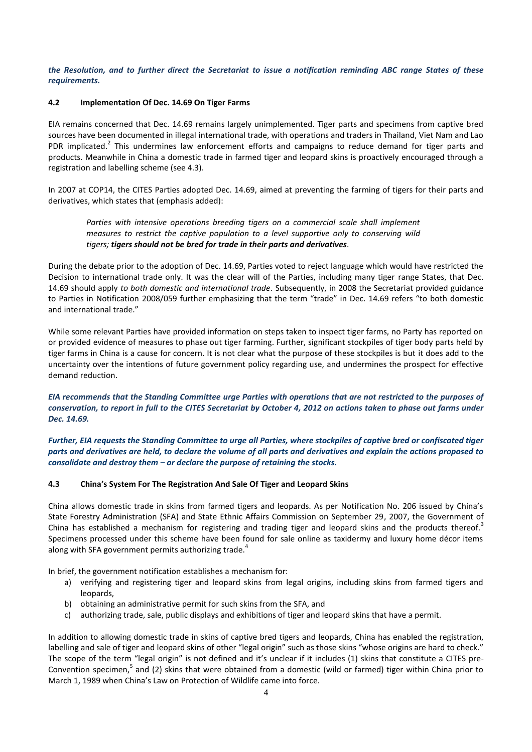*the Resolution, and to further direct the Secretariat to issue a notification reminding ABC range States of these requirements.*

#### **4.2 Implementation Of Dec. 14.69 On Tiger Farms**

EIA remains concerned that Dec. 14.69 remains largely unimplemented. Tiger parts and specimens from captive bred sources have been documented in illegal international trade, with operations and traders in Thailand, Viet Nam and Lao PDR implicated.<sup>2</sup> This undermines law enforcement efforts and campaigns to reduce demand for tiger parts and products. Meanwhile in China a domestic trade in farmed tiger and leopard skins is proactively encouraged through a registration and labelling scheme (see 4.3).

In 2007 at COP14, the CITES Parties adopted Dec. 14.69, aimed at preventing the farming of tigers for their parts and derivatives, which states that (emphasis added):

*Parties with intensive operations breeding tigers on a commercial scale shall implement measures to restrict the captive population to a level supportive only to conserving wild tigers; tigers should not be bred for trade in their parts and derivatives.* 

During the debate prior to the adoption of Dec. 14.69, Parties voted to reject language which would have restricted the Decision to international trade only. It was the clear will of the Parties, including many tiger range States, that Dec. 14.69 should apply *to both domestic and international trade*. Subsequently, in 2008 the Secretariat provided guidance to Parties in Notification 2008/059 further emphasizing that the term "trade" in Dec. 14.69 refers "to both domestic and international trade."

While some relevant Parties have provided information on steps taken to inspect tiger farms, no Party has reported on or provided evidence of measures to phase out tiger farming. Further, significant stockpiles of tiger body parts held by tiger farms in China is a cause for concern. It is not clear what the purpose of these stockpiles is but it does add to the uncertainty over the intentions of future government policy regarding use, and undermines the prospect for effective demand reduction.

*EIA recommends that the Standing Committee urge Parties with operations that are not restricted to the purposes of conservation, to report in full to the CITES Secretariat by October 4, 2012 on actions taken to phase out farms under Dec. 14.69.*

*Further, EIA requests the Standing Committee to urge all Parties, where stockpiles of captive bred or confiscated tiger parts and derivatives are held, to declare the volume of all parts and derivatives and explain the actions proposed to consolidate and destroy them – or declare the purpose of retaining the stocks.*

#### **4.3 China's System For The Registration And Sale Of Tiger and Leopard Skins**

China allows domestic trade in skins from farmed tigers and leopards. As per Notification No. 206 issued by China's State Forestry Administration (SFA) and State Ethnic Affairs Commission on September 29, 2007, the Government of China has established a mechanism for registering and trading tiger and leopard skins and the products thereof.<sup>3</sup> Specimens processed under this scheme have been found for sale online as taxidermy and luxury home décor items along with SFA government permits authorizing trade.<sup>4</sup>

In brief, the government notification establishes a mechanism for:

- a) verifying and registering tiger and leopard skins from legal origins, including skins from farmed tigers and leopards,
- b) obtaining an administrative permit for such skins from the SFA, and
- c) authorizing trade, sale, public displays and exhibitions of tiger and leopard skins that have a permit.

In addition to allowing domestic trade in skins of captive bred tigers and leopards, China has enabled the registration, labelling and sale of tiger and leopard skins of other "legal origin" such as those skins "whose origins are hard to check." The scope of the term "legal origin" is not defined and it's unclear if it includes (1) skins that constitute a CITES pre-Convention specimen,<sup>5</sup> and (2) skins that were obtained from a domestic (wild or farmed) tiger within China prior to March 1, 1989 when China's Law on Protection of Wildlife came into force.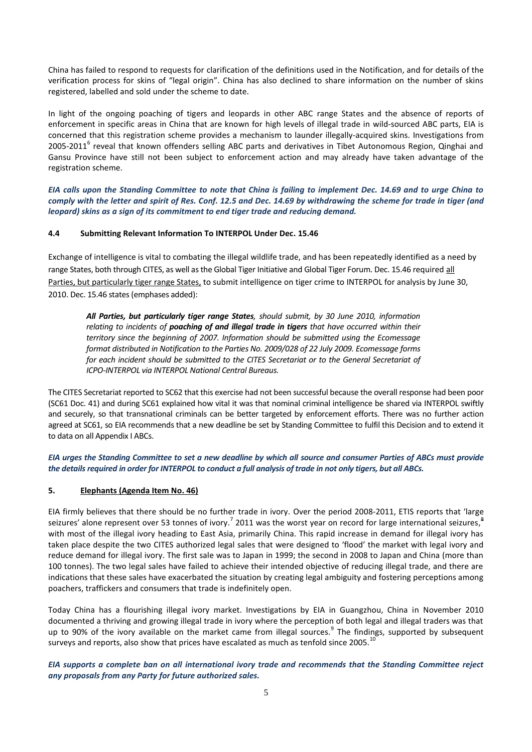China has failed to respond to requests for clarification of the definitions used in the Notification, and for details of the verification process for skins of "legal origin". China has also declined to share information on the number of skins registered, labelled and sold under the scheme to date.

In light of the ongoing poaching of tigers and leopards in other ABC range States and the absence of reports of enforcement in specific areas in China that are known for high levels of illegal trade in wild-sourced ABC parts, EIA is concerned that this registration scheme provides a mechanism to launder illegally-acquired skins. Investigations from 2005-2011<sup>6</sup> reveal that known offenders selling ABC parts and derivatives in Tibet Autonomous Region, Qinghai and Gansu Province have still not been subject to enforcement action and may already have taken advantage of the registration scheme.

*EIA calls upon the Standing Committee to note that China is failing to implement Dec. 14.69 and to urge China to comply with the letter and spirit of Res. Conf. 12.5 and Dec. 14.69 by withdrawing the scheme for trade in tiger (and leopard) skins as a sign of its commitment to end tiger trade and reducing demand.*

# **4.4 Submitting Relevant Information To INTERPOL Under Dec. 15.46**

Exchange of intelligence is vital to combating the illegal wildlife trade, and has been repeatedly identified as a need by range States, both through CITES, as well as the Global Tiger Initiative and Global Tiger Forum. Dec. 15.46 required all Parties, but particularly tiger range States, to submit intelligence on tiger crime to INTERPOL for analysis by June 30, 2010. Dec. 15.46 states (emphases added):

*All Parties, but particularly tiger range States, should submit, by 30 June 2010, information relating to incidents of poaching of and illegal trade in tigers that have occurred within their territory since the beginning of 2007. Information should be submitted using the Ecomessage format distributed in Notification to the Parties No. 2009/028 of 22 July 2009. Ecomessage forms for each incident should be submitted to the CITES Secretariat or to the General Secretariat of ICPO-INTERPOL via INTERPOL National Central Bureaus.*

The CITES Secretariat reported to SC62 that this exercise had not been successful because the overall response had been poor (SC61 Doc. 41) and during SC61 explained how vital it was that nominal criminal intelligence be shared via INTERPOL swiftly and securely, so that transnational criminals can be better targeted by enforcement efforts. There was no further action agreed at SC61, so EIA recommends that a new deadline be set by Standing Committee to fulfil this Decision and to extend it to data on all Appendix I ABCs.

*EIA urges the Standing Committee to set a new deadline by which all source and consumer Parties of ABCs must provide the details required in order for INTERPOL to conduct a full analysis of trade in not only tigers, but all ABCs.*

# **5. Elephants (Agenda Item No. 46)**

EIA firmly believes that there should be no further trade in ivory. Over the period 2008-2011, ETIS reports that 'large seizures' alone represent over 53 tonnes of ivory.<sup>7</sup> 2011 was the worst year on record for large international seizures, with most of the illegal ivory heading to East Asia, primarily China. This rapid increase in demand for illegal ivory has taken place despite the two CITES authorized legal sales that were designed to 'flood' the market with legal ivory and reduce demand for illegal ivory. The first sale was to Japan in 1999; the second in 2008 to Japan and China (more than 100 tonnes). The two legal sales have failed to achieve their intended objective of reducing illegal trade, and there are indications that these sales have exacerbated the situation by creating legal ambiguity and fostering perceptions among poachers, traffickers and consumers that trade is indefinitely open.

Today China has a flourishing illegal ivory market. Investigations by EIA in Guangzhou, China in November 2010 documented a thriving and growing illegal trade in ivory where the perception of both legal and illegal traders was that up to 90% of the ivory available on the market came from illegal sources.<sup>9</sup> The findings, supported by subsequent surveys and reports, also show that prices have escalated as much as tenfold since 2005.<sup>1</sup>

# *EIA supports a complete ban on all international ivory trade and recommends that the Standing Committee reject any proposals from any Party for future authorized sales.*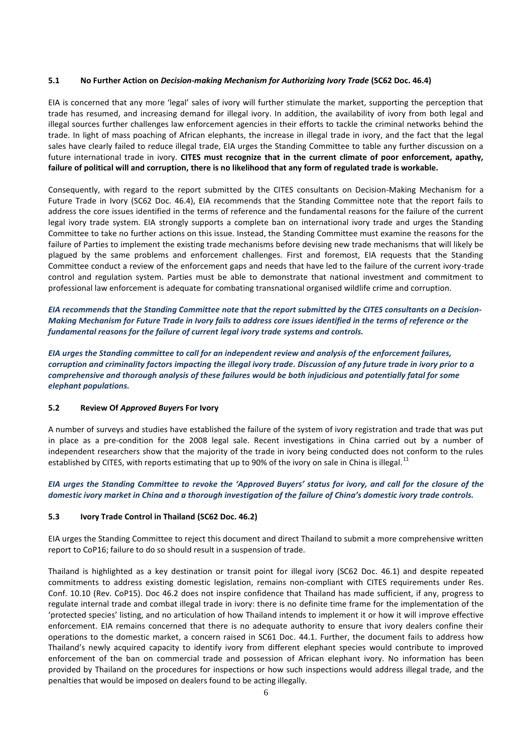### **5.1 No Further Action on** *Decision-making Mechanism for Authorizing Ivory Trade* **(SC62 Doc. 46.4)**

EIA is concerned that any more 'legal' sales of ivory will further stimulate the market, supporting the perception that trade has resumed, and increasing demand for illegal ivory. In addition, the availability of ivory from both legal and illegal sources further challenges law enforcement agencies in their efforts to tackle the criminal networks behind the trade. In light of mass poaching of African elephants, the increase in illegal trade in ivory, and the fact that the legal sales have clearly failed to reduce illegal trade, EIA urges the Standing Committee to table any further discussion on a future international trade in ivory. **CITES must recognize that in the current climate of poor enforcement, apathy, failure of political will and corruption, there is no likelihood that any form of regulated trade is workable.** 

Consequently, with regard to the report submitted by the CITES consultants on Decision-Making Mechanism for a Future Trade in Ivory (SC62 Doc. 46.4), EIA recommends that the Standing Committee note that the report fails to address the core issues identified in the terms of reference and the fundamental reasons for the failure of the current legal ivory trade system. EIA strongly supports a complete ban on international ivory trade and urges the Standing Committee to take no further actions on this issue. Instead, the Standing Committee must examine the reasons for the failure of Parties to implement the existing trade mechanisms before devising new trade mechanisms that will likely be plagued by the same problems and enforcement challenges. First and foremost, EIA requests that the Standing Committee conduct a review of the enforcement gaps and needs that have led to the failure of the current ivory-trade control and regulation system. Parties must be able to demonstrate that national investment and commitment to professional law enforcement is adequate for combating transnational organised wildlife crime and corruption.

*EIA recommends that the Standing Committee note that the report submitted by the CITES consultants on a Decision-Making Mechanism for Future Trade in Ivory fails to address core issues identified in the terms of reference or the fundamental reasons for the failure of current legal ivory trade systems and controls.*

*EIA urges the Standing committee to call for an independent review and analysis of the enforcement failures, corruption and criminality factors impacting the illegal ivory trade. Discussion of any future trade in ivory prior to a comprehensive and thorough analysis of these failures would be both injudicious and potentially fatal for some elephant populations.*

#### **5.2 Review Of** *Approved Buyer***s For Ivory**

A number of surveys and studies have established the failure of the system of ivory registration and trade that was put in place as a pre-condition for the 2008 legal sale. Recent investigations in China carried out by a number of independent researchers show that the majority of the trade in ivory being conducted does not conform to the rules established by CITES, with reports estimating that up to 90% of the ivory on sale in China is illegal.<sup>11</sup>

# *EIA urges the Standing Committee to revoke the 'Approved Buyers' status for ivory, and call for the closure of the domestic ivory market in China and a thorough investigation of the failure of China's domestic ivory trade controls.*

# **5.3 Ivory Trade Control in Thailand (SC62 Doc. 46.2)**

EIA urges the Standing Committee to reject this document and direct Thailand to submit a more comprehensive written report to CoP16; failure to do so should result in a suspension of trade.

Thailand is highlighted as a key destination or transit point for illegal ivory (SC62 Doc. 46.1) and despite repeated commitments to address existing domestic legislation, remains non-compliant with CITES requirements under Res. Conf. 10.10 (Rev. CoP15). Doc 46.2 does not inspire confidence that Thailand has made sufficient, if any, progress to regulate internal trade and combat illegal trade in ivory: there is no definite time frame for the implementation of the 'protected species' listing, and no articulation of how Thailand intends to implement it or how it will improve effective enforcement. EIA remains concerned that there is no adequate authority to ensure that ivory dealers confine their operations to the domestic market, a concern raised in SC61 Doc. 44.1. Further, the document fails to address how Thailand's newly acquired capacity to identify ivory from different elephant species would contribute to improved enforcement of the ban on commercial trade and possession of African elephant ivory. No information has been provided by Thailand on the procedures for inspections or how such inspections would address illegal trade, and the penalties that would be imposed on dealers found to be acting illegally.